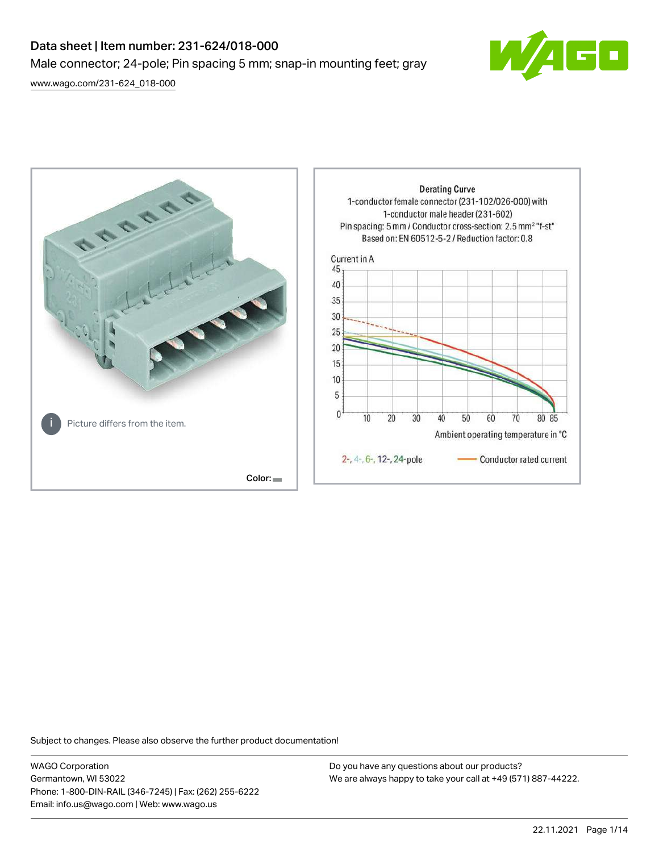# Data sheet | Item number: 231-624/018-000 Male connector; 24-pole; Pin spacing 5 mm; snap-in mounting feet; gray

[www.wago.com/231-624\\_018-000](http://www.wago.com/231-624_018-000)





Subject to changes. Please also observe the further product documentation!

WAGO Corporation Germantown, WI 53022 Phone: 1-800-DIN-RAIL (346-7245) | Fax: (262) 255-6222 Email: info.us@wago.com | Web: www.wago.us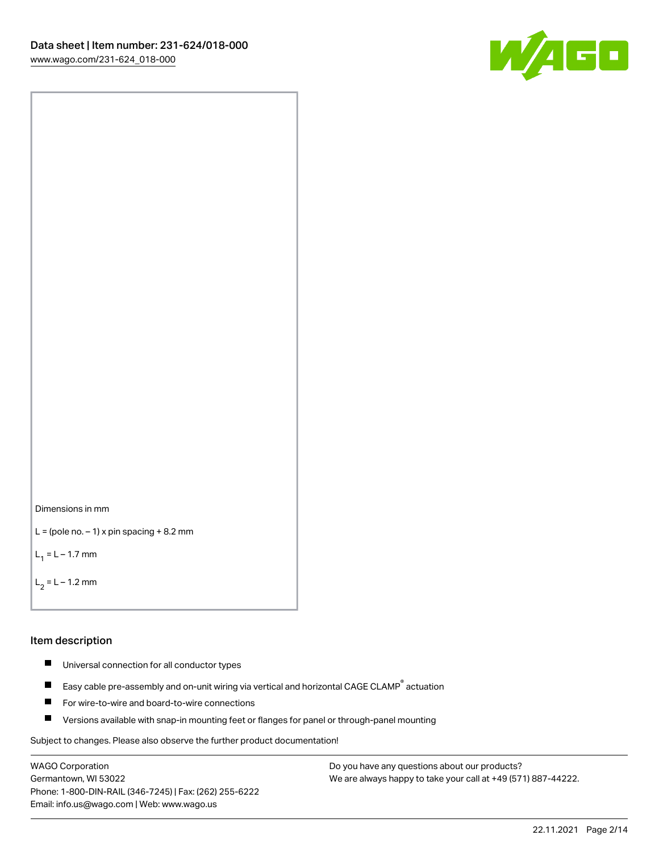



```
L = (pole no. -1) x pin spacing +8.2 mm
```
 $L_1 = L - 1.7$  mm

```
L_2 = L - 1.2 mm
```
### Item description

- $\blacksquare$ Universal connection for all conductor types
- Easy cable pre-assembly and on-unit wiring via vertical and horizontal CAGE CLAMP<sup>®</sup> actuation  $\blacksquare$
- $\blacksquare$ For wire-to-wire and board-to-wire connections
- $\blacksquare$ Versions available with snap-in mounting feet or flanges for panel or through-panel mounting

Subject to changes. Please also observe the further product documentation!

WAGO Corporation Germantown, WI 53022 Phone: 1-800-DIN-RAIL (346-7245) | Fax: (262) 255-6222 Email: info.us@wago.com | Web: www.wago.us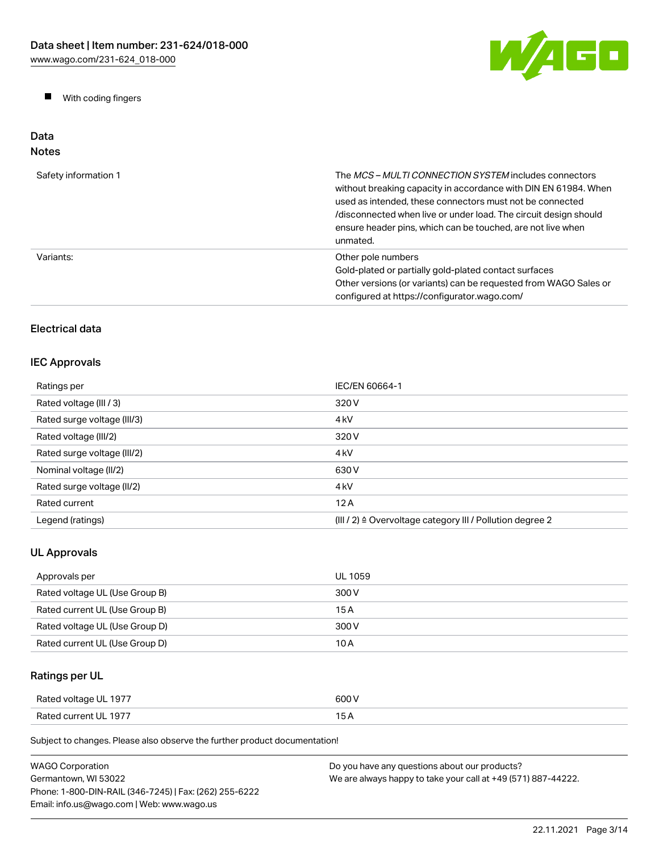

 $\blacksquare$ With coding fingers

### Data Notes

| Safety information 1 | The <i>MCS – MULTI CONNECTION SYSTEM</i> includes connectors<br>without breaking capacity in accordance with DIN EN 61984. When<br>used as intended, these connectors must not be connected<br>/disconnected when live or under load. The circuit design should<br>ensure header pins, which can be touched, are not live when<br>unmated. |
|----------------------|--------------------------------------------------------------------------------------------------------------------------------------------------------------------------------------------------------------------------------------------------------------------------------------------------------------------------------------------|
| Variants:            | Other pole numbers<br>Gold-plated or partially gold-plated contact surfaces<br>Other versions (or variants) can be requested from WAGO Sales or<br>configured at https://configurator.wago.com/                                                                                                                                            |

# Electrical data

# IEC Approvals

| Ratings per                 | IEC/EN 60664-1                                                       |
|-----------------------------|----------------------------------------------------------------------|
| Rated voltage (III / 3)     | 320 V                                                                |
| Rated surge voltage (III/3) | 4 <sub>kV</sub>                                                      |
| Rated voltage (III/2)       | 320 V                                                                |
| Rated surge voltage (III/2) | 4 <sub>k</sub> V                                                     |
| Nominal voltage (II/2)      | 630 V                                                                |
| Rated surge voltage (II/2)  | 4 <sub>k</sub> V                                                     |
| Rated current               | 12A                                                                  |
| Legend (ratings)            | (III / 2) $\triangleq$ Overvoltage category III / Pollution degree 2 |

# UL Approvals

| Approvals per                  | UL 1059 |
|--------------------------------|---------|
| Rated voltage UL (Use Group B) | 300 V   |
| Rated current UL (Use Group B) | 15 A    |
| Rated voltage UL (Use Group D) | 300 V   |
| Rated current UL (Use Group D) | 10 A    |

# Ratings per UL

| Rated voltage UL 1977 | 600 V |
|-----------------------|-------|
| Rated current UL 1977 |       |

Subject to changes. Please also observe the further product documentation!

| WAGO Corporation                                       | Do you have any questions about our products?                 |
|--------------------------------------------------------|---------------------------------------------------------------|
| Germantown. WI 53022                                   | We are always happy to take your call at +49 (571) 887-44222. |
| Phone: 1-800-DIN-RAIL (346-7245)   Fax: (262) 255-6222 |                                                               |
| Email: info.us@wago.com   Web: www.wago.us             |                                                               |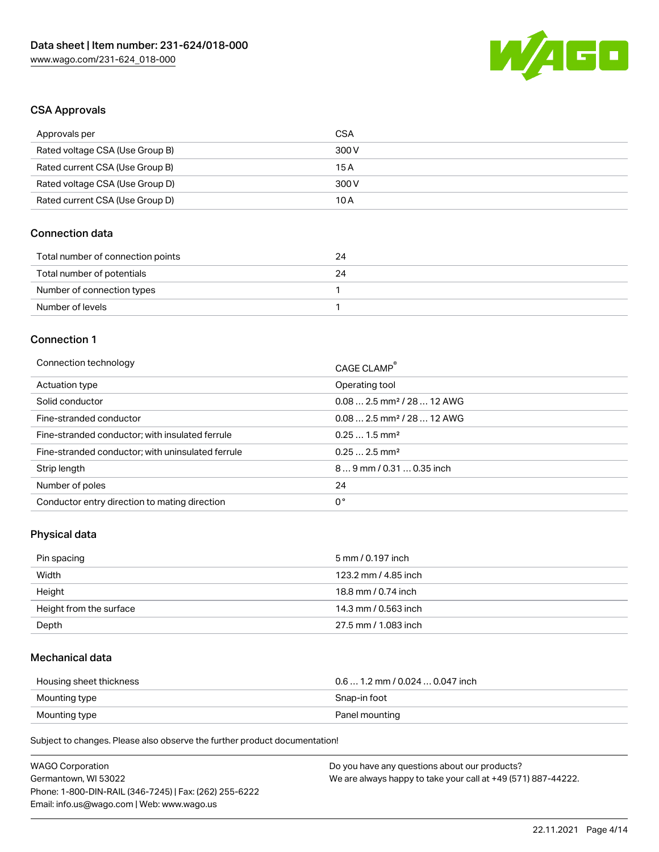

### CSA Approvals

| Approvals per                   | CSA   |
|---------------------------------|-------|
| Rated voltage CSA (Use Group B) | 300 V |
| Rated current CSA (Use Group B) | 15 A  |
| Rated voltage CSA (Use Group D) | 300 V |
| Rated current CSA (Use Group D) | 10 A  |

### Connection data

| Total number of connection points | 24 |
|-----------------------------------|----|
| Total number of potentials        | 24 |
| Number of connection types        |    |
| Number of levels                  |    |

#### Connection 1

| Connection technology                             | CAGE CLAMP <sup>®</sup>                |
|---------------------------------------------------|----------------------------------------|
| Actuation type                                    | Operating tool                         |
| Solid conductor                                   | $0.082.5$ mm <sup>2</sup> / 28  12 AWG |
| Fine-stranded conductor                           | $0.082.5$ mm <sup>2</sup> / 28  12 AWG |
| Fine-stranded conductor; with insulated ferrule   | $0.251.5$ mm <sup>2</sup>              |
| Fine-stranded conductor; with uninsulated ferrule | $0.252.5$ mm <sup>2</sup>              |
| Strip length                                      | $89$ mm / 0.31  0.35 inch              |
| Number of poles                                   | 24                                     |
| Conductor entry direction to mating direction     | 0°                                     |

### Physical data

| Pin spacing             | 5 mm / 0.197 inch    |
|-------------------------|----------------------|
| Width                   | 123.2 mm / 4.85 inch |
| Height                  | 18.8 mm / 0.74 inch  |
| Height from the surface | 14.3 mm / 0.563 inch |
| Depth                   | 27.5 mm / 1.083 inch |

### Mechanical data

| Housing sheet thickness | $0.6$ 1.2 mm / 0.024 $$ 0.047 inch |
|-------------------------|------------------------------------|
| Mounting type           | Snap-in foot                       |
| Mounting type           | Panel mounting                     |

Subject to changes. Please also observe the further product documentation!

| <b>WAGO Corporation</b>                                | Do you have any questions about our products?                 |
|--------------------------------------------------------|---------------------------------------------------------------|
| Germantown, WI 53022                                   | We are always happy to take your call at +49 (571) 887-44222. |
| Phone: 1-800-DIN-RAIL (346-7245)   Fax: (262) 255-6222 |                                                               |
| Email: info.us@wago.com   Web: www.wago.us             |                                                               |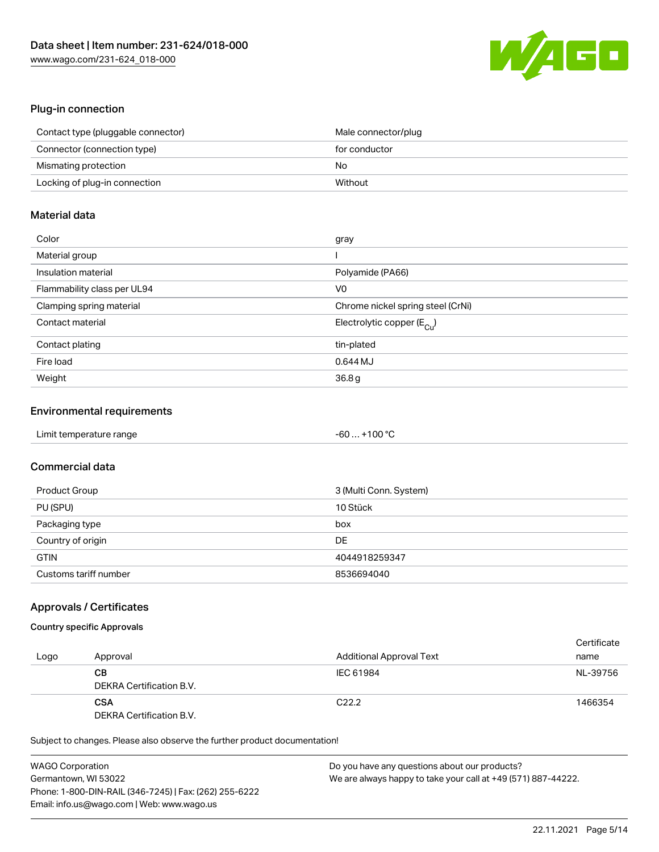

### Plug-in connection

| Contact type (pluggable connector) | Male connector/plug |
|------------------------------------|---------------------|
| Connector (connection type)        | for conductor       |
| Mismating protection               | No                  |
| Locking of plug-in connection      | Without             |

### Material data

| Color                       | gray                                    |
|-----------------------------|-----------------------------------------|
| Material group              |                                         |
| Insulation material         | Polyamide (PA66)                        |
| Flammability class per UL94 | V0                                      |
| Clamping spring material    | Chrome nickel spring steel (CrNi)       |
| Contact material            | Electrolytic copper ( $E_{\text{Cu}}$ ) |
| Contact plating             | tin-plated                              |
| Fire load                   | 0.644 MJ                                |
| Weight                      | 36.8g                                   |

### Environmental requirements

| Limit temperature range | $-60+100 °C$ |  |
|-------------------------|--------------|--|
|-------------------------|--------------|--|

# Commercial data

| Product Group         | 3 (Multi Conn. System) |
|-----------------------|------------------------|
| PU (SPU)              | 10 Stück               |
| Packaging type        | box                    |
| Country of origin     | DE                     |
| <b>GTIN</b>           | 4044918259347          |
| Customs tariff number | 8536694040             |

### Approvals / Certificates

### Country specific Approvals

| Logo | Approval                               | <b>Additional Approval Text</b> | Certificate<br>name |
|------|----------------------------------------|---------------------------------|---------------------|
|      | CВ<br>DEKRA Certification B.V.         | IEC 61984                       | NL-39756            |
|      | <b>CSA</b><br>DEKRA Certification B.V. | C <sub>22.2</sub>               | 1466354             |

Subject to changes. Please also observe the further product documentation!

| <b>WAGO Corporation</b>                                | Do you have any questions about our products?                 |
|--------------------------------------------------------|---------------------------------------------------------------|
| Germantown, WI 53022                                   | We are always happy to take your call at +49 (571) 887-44222. |
| Phone: 1-800-DIN-RAIL (346-7245)   Fax: (262) 255-6222 |                                                               |
| Email: info.us@wago.com   Web: www.wago.us             |                                                               |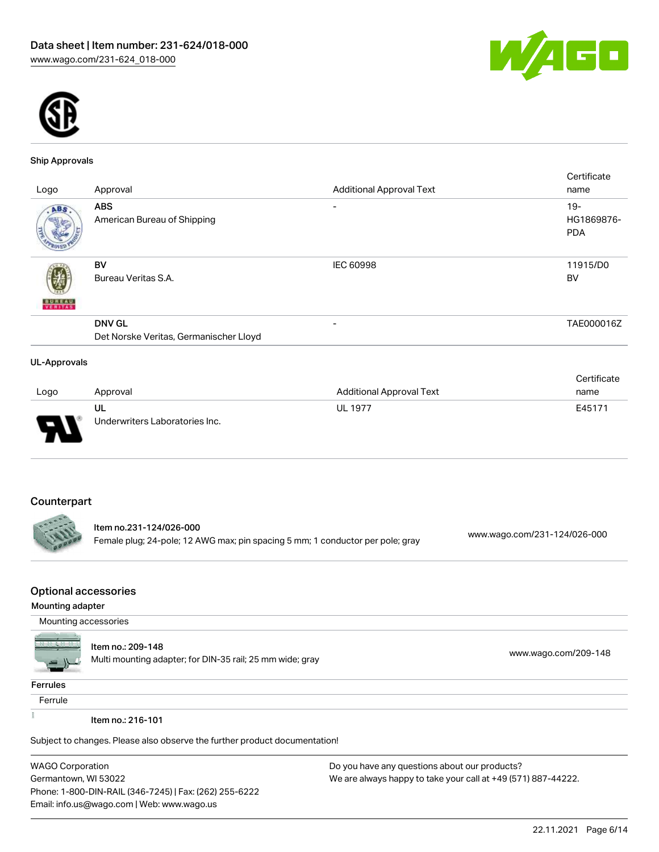



#### Ship Approvals

|                     |                                        |                                 | Certificate |
|---------------------|----------------------------------------|---------------------------------|-------------|
| Logo                | Approval                               | <b>Additional Approval Text</b> | name        |
| ABS.                | <b>ABS</b>                             | $\overline{\phantom{0}}$        | $19 -$      |
|                     | American Bureau of Shipping            |                                 | HG1869876-  |
|                     |                                        |                                 | <b>PDA</b>  |
|                     | BV                                     | <b>IEC 60998</b>                | 11915/D0    |
|                     | Bureau Veritas S.A.                    |                                 | BV          |
| <b>BUREAU</b>       |                                        |                                 |             |
|                     | <b>DNV GL</b>                          | $\overline{\phantom{a}}$        | TAE000016Z  |
|                     | Det Norske Veritas, Germanischer Lloyd |                                 |             |
| <b>UL-Approvals</b> |                                        |                                 |             |

#### Logo Approval Additional Approval Text **Certificate** name UL Underwriters Laboratories Inc. UL 1977 **E45171**

# **Counterpart**

Item no.231-124/026-000 Female plug; 24-pole; 12 AWG max; pin spacing 5 mm; 1 conductor per pole; gray [www.wago.com/231-124/026-000](https://www.wago.com/231-124/026-000)

### Optional accessories

#### Mounting adapter

Mounting accessories



#### Item no.: 209-148

ntem no.. 209-146<br>Multi mounting adapter; for DIN-35 rail; 25 mm wide; gray [www.wago.com/209-148](http://www.wago.com/209-148)

#### **Ferrules**

Ferrule

 $\frac{1}{2}$ 

Item no.: 216-101

Subject to changes. Please also observe the further product documentation!

WAGO Corporation Germantown, WI 53022 Phone: 1-800-DIN-RAIL (346-7245) | Fax: (262) 255-6222 Email: info.us@wago.com | Web: www.wago.us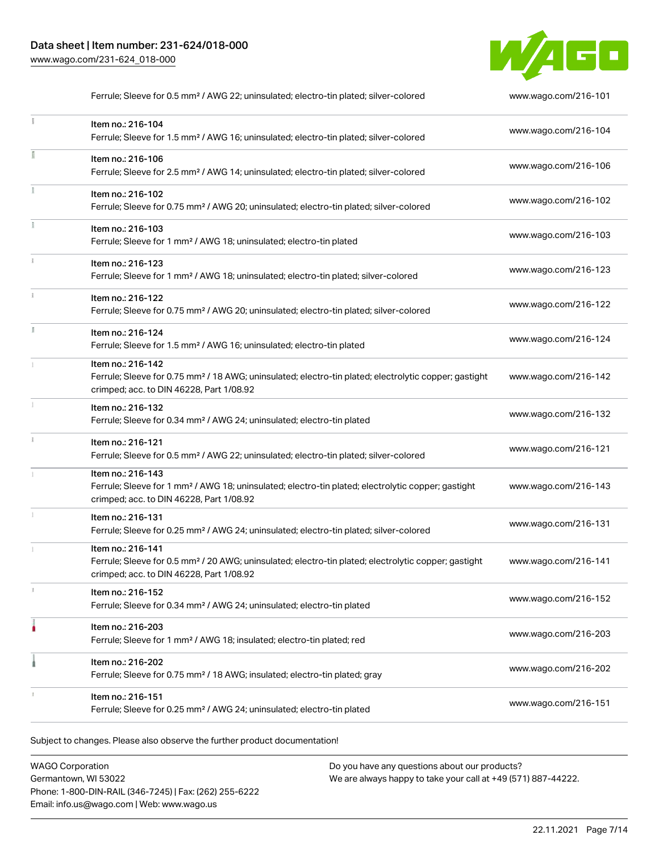

|               | Ferrule; Sleeve for 0.5 mm <sup>2</sup> / AWG 22; uninsulated; electro-tin plated; silver-colored                                                                                  | www.wago.com/216-101 |
|---------------|------------------------------------------------------------------------------------------------------------------------------------------------------------------------------------|----------------------|
|               | Item no.: 216-104<br>Ferrule; Sleeve for 1.5 mm <sup>2</sup> / AWG 16; uninsulated; electro-tin plated; silver-colored                                                             | www.wago.com/216-104 |
|               | Item no.: 216-106<br>Ferrule; Sleeve for 2.5 mm <sup>2</sup> / AWG 14; uninsulated; electro-tin plated; silver-colored                                                             | www.wago.com/216-106 |
| ł.            | Item no.: 216-102<br>Ferrule; Sleeve for 0.75 mm <sup>2</sup> / AWG 20; uninsulated; electro-tin plated; silver-colored                                                            | www.wago.com/216-102 |
|               | Item no.: 216-103<br>Ferrule; Sleeve for 1 mm <sup>2</sup> / AWG 18; uninsulated; electro-tin plated                                                                               | www.wago.com/216-103 |
| $\frac{1}{3}$ | Item no.: 216-123<br>Ferrule; Sleeve for 1 mm <sup>2</sup> / AWG 18; uninsulated; electro-tin plated; silver-colored                                                               | www.wago.com/216-123 |
|               | Item no.: 216-122<br>Ferrule; Sleeve for 0.75 mm <sup>2</sup> / AWG 20; uninsulated; electro-tin plated; silver-colored                                                            | www.wago.com/216-122 |
| Ĭ.            | Item no.: 216-124<br>Ferrule; Sleeve for 1.5 mm <sup>2</sup> / AWG 16; uninsulated; electro-tin plated                                                                             | www.wago.com/216-124 |
|               | Item no.: 216-142<br>Ferrule; Sleeve for 0.75 mm <sup>2</sup> / 18 AWG; uninsulated; electro-tin plated; electrolytic copper; gastight<br>crimped; acc. to DIN 46228, Part 1/08.92 | www.wago.com/216-142 |
|               | Item no.: 216-132<br>Ferrule; Sleeve for 0.34 mm <sup>2</sup> / AWG 24; uninsulated; electro-tin plated                                                                            | www.wago.com/216-132 |
|               | Item no.: 216-121<br>Ferrule; Sleeve for 0.5 mm <sup>2</sup> / AWG 22; uninsulated; electro-tin plated; silver-colored                                                             | www.wago.com/216-121 |
|               | Item no.: 216-143<br>Ferrule; Sleeve for 1 mm <sup>2</sup> / AWG 18; uninsulated; electro-tin plated; electrolytic copper; gastight<br>crimped; acc. to DIN 46228, Part 1/08.92    | www.wago.com/216-143 |
|               | Item no.: 216-131<br>Ferrule; Sleeve for 0.25 mm <sup>2</sup> / AWG 24; uninsulated; electro-tin plated; silver-colored                                                            | www.wago.com/216-131 |
|               | Item no.: 216-141<br>Ferrule; Sleeve for 0.5 mm <sup>2</sup> / 20 AWG; uninsulated; electro-tin plated; electrolytic copper; gastight<br>crimped; acc. to DIN 46228, Part 1/08.92  | www.wago.com/216-141 |
| s.            | Item no.: 216-152<br>Ferrule; Sleeve for 0.34 mm <sup>2</sup> / AWG 24; uninsulated; electro-tin plated                                                                            | www.wago.com/216-152 |
|               | Item no.: 216-203<br>Ferrule; Sleeve for 1 mm <sup>2</sup> / AWG 18; insulated; electro-tin plated; red                                                                            | www.wago.com/216-203 |
|               | Item no.: 216-202<br>Ferrule; Sleeve for 0.75 mm <sup>2</sup> / 18 AWG; insulated; electro-tin plated; gray                                                                        | www.wago.com/216-202 |
|               | Item no.: 216-151<br>Ferrule; Sleeve for 0.25 mm <sup>2</sup> / AWG 24; uninsulated; electro-tin plated                                                                            | www.wago.com/216-151 |
|               |                                                                                                                                                                                    |                      |

Subject to changes. Please also observe the further product documentation!

WAGO Corporation Germantown, WI 53022 Phone: 1-800-DIN-RAIL (346-7245) | Fax: (262) 255-6222 Email: info.us@wago.com | Web: www.wago.us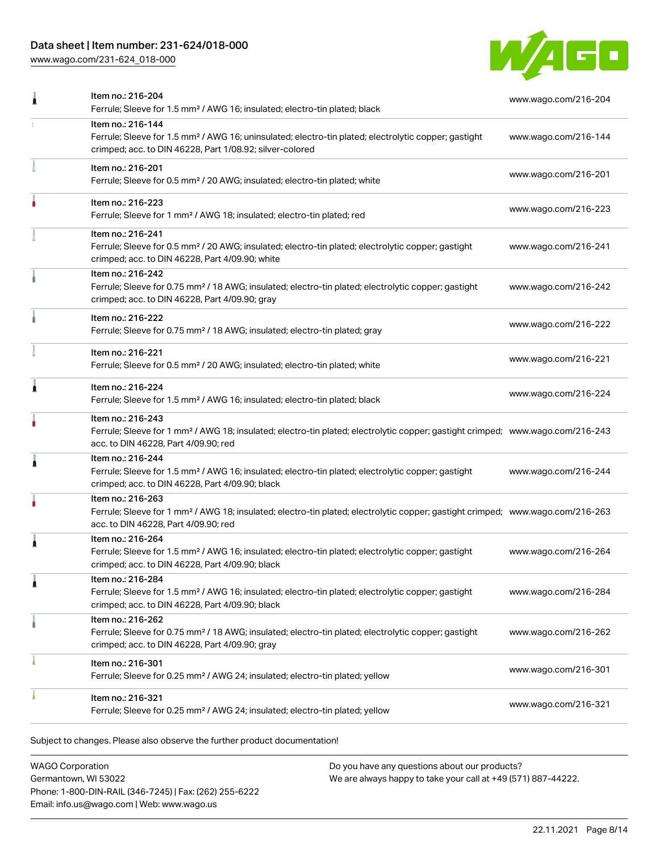# Data sheet | Item number: 231-624/018-000

[www.wago.com/231-624\\_018-000](http://www.wago.com/231-624_018-000)



|   | Ferrule; Sleeve for 1.5 mm <sup>2</sup> / AWG 16; insulated; electro-tin plated; black                                                                                                                  | www.wago.com/216-204 |
|---|---------------------------------------------------------------------------------------------------------------------------------------------------------------------------------------------------------|----------------------|
|   | Item no.: 216-144<br>Ferrule; Sleeve for 1.5 mm <sup>2</sup> / AWG 16; uninsulated; electro-tin plated; electrolytic copper; gastight<br>crimped; acc. to DIN 46228, Part 1/08.92; silver-colored       | www.wago.com/216-144 |
|   | Item no.: 216-201<br>Ferrule; Sleeve for 0.5 mm <sup>2</sup> / 20 AWG; insulated; electro-tin plated; white                                                                                             | www.wago.com/216-201 |
|   | Item no.: 216-223<br>Ferrule; Sleeve for 1 mm <sup>2</sup> / AWG 18; insulated; electro-tin plated; red                                                                                                 | www.wago.com/216-223 |
|   | Item no.: 216-241<br>Ferrule; Sleeve for 0.5 mm <sup>2</sup> / 20 AWG; insulated; electro-tin plated; electrolytic copper; gastight<br>crimped; acc. to DIN 46228, Part 4/09.90; white                  | www.wago.com/216-241 |
|   | Item no.: 216-242<br>Ferrule; Sleeve for 0.75 mm <sup>2</sup> / 18 AWG; insulated; electro-tin plated; electrolytic copper; gastight<br>crimped; acc. to DIN 46228, Part 4/09.90; gray                  | www.wago.com/216-242 |
|   | Item no.: 216-222<br>Ferrule; Sleeve for 0.75 mm <sup>2</sup> / 18 AWG; insulated; electro-tin plated; gray                                                                                             | www.wago.com/216-222 |
|   | Item no.: 216-221<br>Ferrule; Sleeve for 0.5 mm <sup>2</sup> / 20 AWG; insulated; electro-tin plated; white                                                                                             | www.wago.com/216-221 |
| Â | Item no.: 216-224<br>Ferrule; Sleeve for 1.5 mm <sup>2</sup> / AWG 16; insulated; electro-tin plated; black                                                                                             | www.wago.com/216-224 |
|   | Item no.: 216-243<br>Ferrule; Sleeve for 1 mm <sup>2</sup> / AWG 18; insulated; electro-tin plated; electrolytic copper; gastight crimped; www.wago.com/216-243<br>acc. to DIN 46228, Part 4/09.90; red |                      |
| j | Item no.: 216-244<br>Ferrule; Sleeve for 1.5 mm <sup>2</sup> / AWG 16; insulated; electro-tin plated; electrolytic copper; gastight<br>crimped; acc. to DIN 46228, Part 4/09.90; black                  | www.wago.com/216-244 |
|   | Item no.: 216-263<br>Ferrule; Sleeve for 1 mm <sup>2</sup> / AWG 18; insulated; electro-tin plated; electrolytic copper; gastight crimped; www.wago.com/216-263<br>acc. to DIN 46228, Part 4/09.90; red |                      |
| Â | Item no.: 216-264<br>Ferrule; Sleeve for 1.5 mm <sup>2</sup> / AWG 16; insulated; electro-tin plated; electrolytic copper; gastight<br>crimped; acc. to DIN 46228, Part 4/09.90; black                  | www.wago.com/216-264 |
|   | Item no.: 216-284<br>Ferrule; Sleeve for 1.5 mm <sup>2</sup> / AWG 16; insulated; electro-tin plated; electrolytic copper; gastight<br>crimped; acc. to DIN 46228, Part 4/09.90; black                  | www.wago.com/216-284 |
|   | Item no.: 216-262<br>Ferrule; Sleeve for 0.75 mm <sup>2</sup> / 18 AWG; insulated; electro-tin plated; electrolytic copper; gastight<br>crimped; acc. to DIN 46228, Part 4/09.90; gray                  | www.wago.com/216-262 |
|   | Item no.: 216-301<br>Ferrule; Sleeve for 0.25 mm <sup>2</sup> / AWG 24; insulated; electro-tin plated; yellow                                                                                           | www.wago.com/216-301 |
|   | Item no.: 216-321<br>Ferrule; Sleeve for 0.25 mm <sup>2</sup> / AWG 24; insulated; electro-tin plated; yellow                                                                                           | www.wago.com/216-321 |
|   |                                                                                                                                                                                                         |                      |

Subject to changes. Please also observe the further product documentation!

WAGO Corporation Germantown, WI 53022 Phone: 1-800-DIN-RAIL (346-7245) | Fax: (262) 255-6222 Email: info.us@wago.com | Web: www.wago.us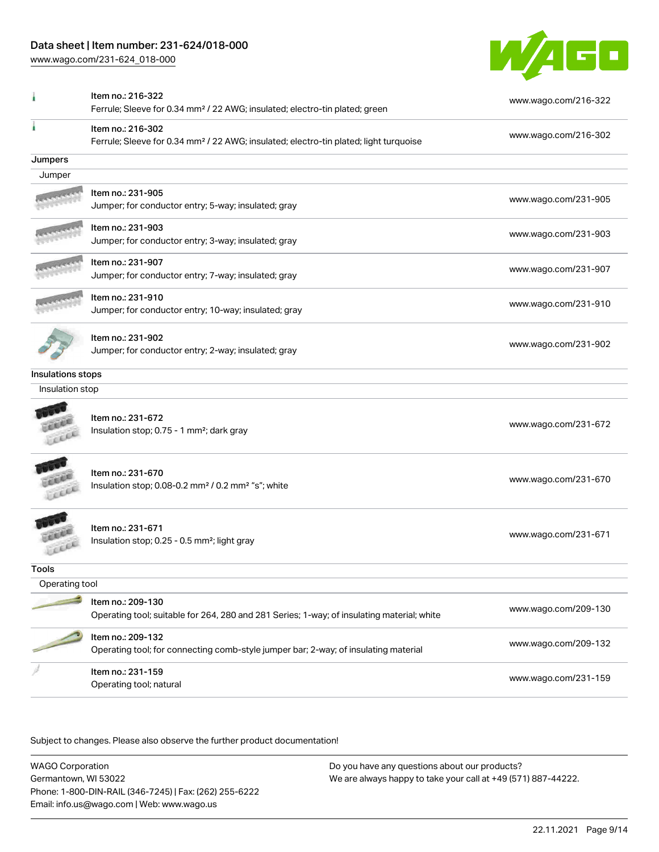### Data sheet | Item number: 231-624/018-000

[www.wago.com/231-624\\_018-000](http://www.wago.com/231-624_018-000)



|                   | Item no.: 216-322<br>Ferrule; Sleeve for 0.34 mm <sup>2</sup> / 22 AWG; insulated; electro-tin plated; green           | www.wago.com/216-322 |
|-------------------|------------------------------------------------------------------------------------------------------------------------|----------------------|
|                   | Item no.: 216-302<br>Ferrule; Sleeve for 0.34 mm <sup>2</sup> / 22 AWG; insulated; electro-tin plated; light turquoise | www.wago.com/216-302 |
| Jumpers           |                                                                                                                        |                      |
| Jumper            |                                                                                                                        |                      |
|                   | Item no.: 231-905<br>Jumper; for conductor entry; 5-way; insulated; gray                                               | www.wago.com/231-905 |
|                   | Item no.: 231-903<br>Jumper; for conductor entry; 3-way; insulated; gray                                               | www.wago.com/231-903 |
|                   | Item no.: 231-907<br>Jumper; for conductor entry; 7-way; insulated; gray                                               | www.wago.com/231-907 |
|                   | Item no.: 231-910<br>Jumper; for conductor entry; 10-way; insulated; gray                                              | www.wago.com/231-910 |
|                   | Item no.: 231-902<br>Jumper; for conductor entry; 2-way; insulated; gray                                               | www.wago.com/231-902 |
| Insulations stops |                                                                                                                        |                      |
| Insulation stop   |                                                                                                                        |                      |
|                   | Item no.: 231-672<br>Insulation stop; 0.75 - 1 mm <sup>2</sup> ; dark gray                                             | www.wago.com/231-672 |
|                   | Item no.: 231-670<br>Insulation stop; 0.08-0.2 mm <sup>2</sup> / 0.2 mm <sup>2</sup> "s"; white                        | www.wago.com/231-670 |
|                   | Item no.: 231-671<br>Insulation stop; 0.25 - 0.5 mm <sup>2</sup> ; light gray                                          | www.wago.com/231-671 |
| Tools             |                                                                                                                        |                      |
| Operating tool    |                                                                                                                        |                      |
|                   | Item no.: 209-130<br>Operating tool; suitable for 264, 280 and 281 Series; 1-way; of insulating material; white        | www.wago.com/209-130 |
|                   | Item no.: 209-132<br>Operating tool; for connecting comb-style jumper bar; 2-way; of insulating material               | www.wago.com/209-132 |
|                   | Item no.: 231-159<br>Operating tool; natural                                                                           | www.wago.com/231-159 |
|                   |                                                                                                                        |                      |

Subject to changes. Please also observe the further product documentation!

WAGO Corporation Germantown, WI 53022 Phone: 1-800-DIN-RAIL (346-7245) | Fax: (262) 255-6222 Email: info.us@wago.com | Web: www.wago.us Do you have any questions about our products? We are always happy to take your call at +49 (571) 887-44222.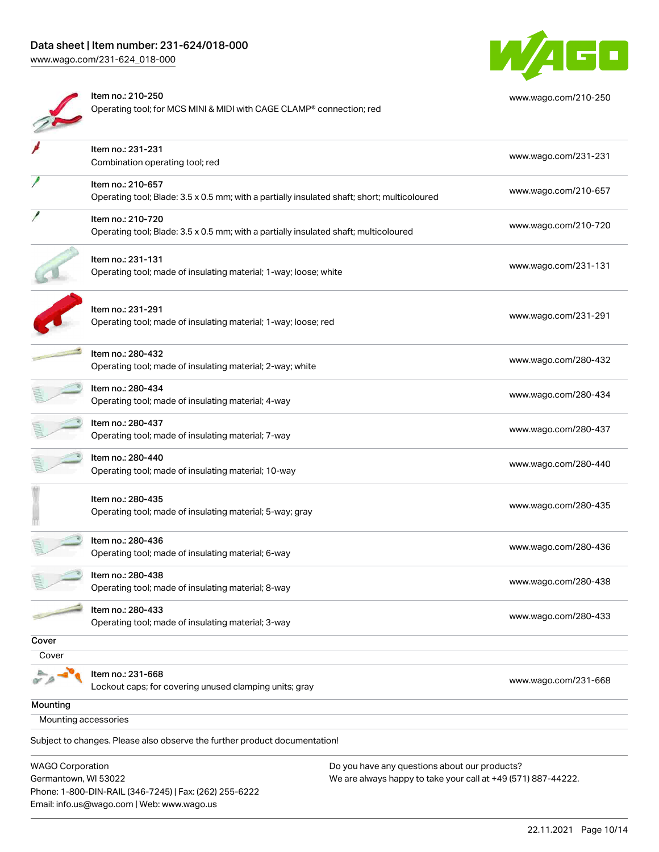Email: info.us@wago.com | Web: www.wago.us



|                                                 | Item no.: 210-250<br>Operating tool; for MCS MINI & MIDI with CAGE CLAMP® connection; red                        | www.wago.com/210-250                                                                                           |
|-------------------------------------------------|------------------------------------------------------------------------------------------------------------------|----------------------------------------------------------------------------------------------------------------|
|                                                 | Item no.: 231-231<br>Combination operating tool; red                                                             | www.wago.com/231-231                                                                                           |
|                                                 | Item no.: 210-657<br>Operating tool; Blade: 3.5 x 0.5 mm; with a partially insulated shaft; short; multicoloured | www.wago.com/210-657                                                                                           |
|                                                 | Item no.: 210-720<br>Operating tool; Blade: 3.5 x 0.5 mm; with a partially insulated shaft; multicoloured        | www.wago.com/210-720                                                                                           |
|                                                 | Item no.: 231-131<br>Operating tool; made of insulating material; 1-way; loose; white                            | www.wago.com/231-131                                                                                           |
|                                                 | Item no.: 231-291<br>Operating tool; made of insulating material; 1-way; loose; red                              | www.wago.com/231-291                                                                                           |
|                                                 | Item no.: 280-432<br>Operating tool; made of insulating material; 2-way; white                                   | www.wago.com/280-432                                                                                           |
|                                                 | Item no.: 280-434<br>Operating tool; made of insulating material; 4-way                                          | www.wago.com/280-434                                                                                           |
|                                                 | Item no.: 280-437<br>Operating tool; made of insulating material; 7-way                                          | www.wago.com/280-437                                                                                           |
|                                                 | Item no.: 280-440<br>Operating tool; made of insulating material; 10-way                                         | www.wago.com/280-440                                                                                           |
|                                                 | Item no.: 280-435<br>Operating tool; made of insulating material; 5-way; gray                                    | www.wago.com/280-435                                                                                           |
|                                                 | Item no.: 280-436<br>Operating tool; made of insulating material; 6-way                                          | www.wago.com/280-436                                                                                           |
|                                                 | Item no.: 280-438<br>Operating tool; made of insulating material; 8-way                                          | www.wago.com/280-438                                                                                           |
|                                                 | Item no.: 280-433<br>Operating tool; made of insulating material; 3-way                                          | www.wago.com/280-433                                                                                           |
| Cover                                           |                                                                                                                  |                                                                                                                |
| Cover                                           |                                                                                                                  |                                                                                                                |
|                                                 | Item no.: 231-668<br>Lockout caps; for covering unused clamping units; gray                                      | www.wago.com/231-668                                                                                           |
| Mounting                                        |                                                                                                                  |                                                                                                                |
| Mounting accessories                            |                                                                                                                  |                                                                                                                |
|                                                 | Subject to changes. Please also observe the further product documentation!                                       |                                                                                                                |
| <b>WAGO Corporation</b><br>Germantown, WI 53022 | Phone: 1-800-DIN-RAIL (346-7245)   Fax: (262) 255-6222                                                           | Do you have any questions about our products?<br>We are always happy to take your call at +49 (571) 887-44222. |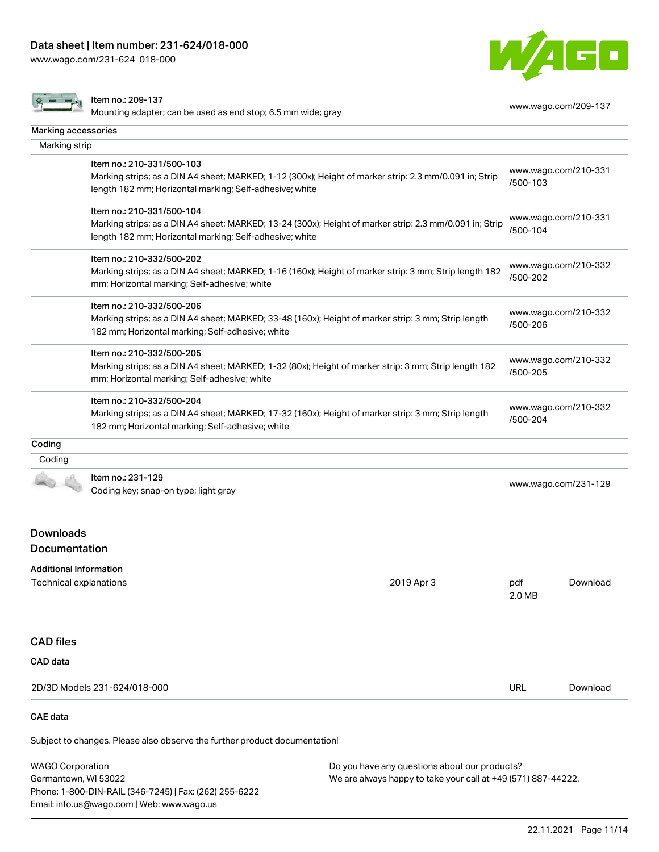Phone: 1-800-DIN-RAIL (346-7245) | Fax: (262) 255-6222

Email: info.us@wago.com | Web: www.wago.us

[www.wago.com/231-624\\_018-000](http://www.wago.com/231-624_018-000)



|                                                  | Item no.: 209-137<br>Mounting adapter; can be used as end stop; 6.5 mm wide; gray                                                                                                               |                                                                                                                |                      | www.wago.com/209-137 |
|--------------------------------------------------|-------------------------------------------------------------------------------------------------------------------------------------------------------------------------------------------------|----------------------------------------------------------------------------------------------------------------|----------------------|----------------------|
| Marking accessories                              |                                                                                                                                                                                                 |                                                                                                                |                      |                      |
| Marking strip                                    |                                                                                                                                                                                                 |                                                                                                                |                      |                      |
|                                                  | Item no.: 210-331/500-103<br>Marking strips; as a DIN A4 sheet; MARKED; 1-12 (300x); Height of marker strip: 2.3 mm/0.091 in; Strip<br>length 182 mm; Horizontal marking; Self-adhesive; white  |                                                                                                                | /500-103             | www.wago.com/210-331 |
|                                                  | Item no.: 210-331/500-104<br>Marking strips; as a DIN A4 sheet; MARKED; 13-24 (300x); Height of marker strip: 2.3 mm/0.091 in; Strip<br>length 182 mm; Horizontal marking; Self-adhesive; white |                                                                                                                | /500-104             | www.wago.com/210-331 |
|                                                  | Item no.: 210-332/500-202<br>Marking strips; as a DIN A4 sheet; MARKED; 1-16 (160x); Height of marker strip: 3 mm; Strip length 182<br>mm; Horizontal marking; Self-adhesive; white             |                                                                                                                | /500-202             | www.wago.com/210-332 |
|                                                  | Item no.: 210-332/500-206<br>Marking strips; as a DIN A4 sheet; MARKED; 33-48 (160x); Height of marker strip: 3 mm; Strip length<br>182 mm; Horizontal marking; Self-adhesive; white            |                                                                                                                | /500-206             | www.wago.com/210-332 |
|                                                  | Item no.: 210-332/500-205<br>Marking strips; as a DIN A4 sheet; MARKED; 1-32 (80x); Height of marker strip: 3 mm; Strip length 182<br>mm; Horizontal marking; Self-adhesive; white              |                                                                                                                | /500-205             | www.wago.com/210-332 |
|                                                  | Item no.: 210-332/500-204<br>Marking strips; as a DIN A4 sheet; MARKED; 17-32 (160x); Height of marker strip: 3 mm; Strip length<br>182 mm; Horizontal marking; Self-adhesive; white            |                                                                                                                | /500-204             | www.wago.com/210-332 |
| Coding                                           |                                                                                                                                                                                                 |                                                                                                                |                      |                      |
| Coding                                           |                                                                                                                                                                                                 |                                                                                                                |                      |                      |
|                                                  | Item no.: 231-129<br>Coding key; snap-on type; light gray                                                                                                                                       |                                                                                                                | www.wago.com/231-129 |                      |
| <b>Downloads</b><br>Documentation                |                                                                                                                                                                                                 |                                                                                                                |                      |                      |
| Additional Information<br>Technical explanations |                                                                                                                                                                                                 | 2019 Apr 3                                                                                                     | pdf<br>2.0 MB        | Download             |
| <b>CAD files</b>                                 |                                                                                                                                                                                                 |                                                                                                                |                      |                      |
| CAD data                                         |                                                                                                                                                                                                 |                                                                                                                |                      |                      |
|                                                  | 2D/3D Models 231-624/018-000                                                                                                                                                                    |                                                                                                                | URL                  | Download             |
| <b>CAE</b> data                                  |                                                                                                                                                                                                 |                                                                                                                |                      |                      |
|                                                  | Subject to changes. Please also observe the further product documentation!                                                                                                                      |                                                                                                                |                      |                      |
| <b>WAGO Corporation</b><br>Germantown, WI 53022  |                                                                                                                                                                                                 | Do you have any questions about our products?<br>We are always happy to take your call at +49 (571) 887-44222. |                      |                      |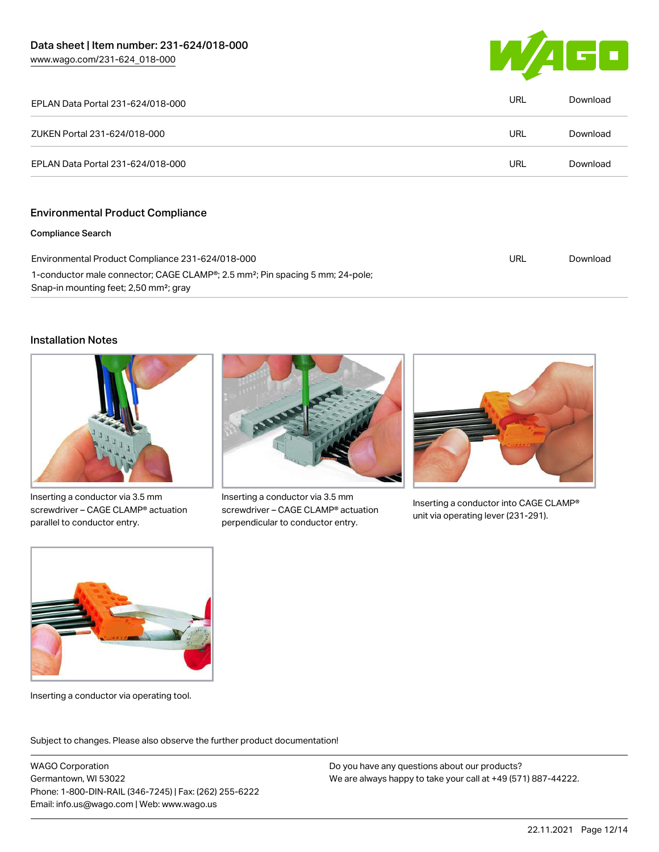

| EPLAN Data Portal 231-624/018-000                                                                                                                            | <b>URL</b> | Download |
|--------------------------------------------------------------------------------------------------------------------------------------------------------------|------------|----------|
| ZUKEN Portal 231-624/018-000                                                                                                                                 | <b>URL</b> | Download |
| EPLAN Data Portal 231-624/018-000                                                                                                                            | <b>URL</b> | Download |
|                                                                                                                                                              |            |          |
| <b>Environmental Product Compliance</b>                                                                                                                      |            |          |
| <b>Compliance Search</b>                                                                                                                                     |            |          |
| Environmental Product Compliance 231-624/018-000                                                                                                             | <b>URL</b> | Download |
| 1-conductor male connector; CAGE CLAMP <sup>®</sup> ; 2.5 mm <sup>2</sup> ; Pin spacing 5 mm; 24-pole;<br>Snap-in mounting feet; 2,50 mm <sup>2</sup> ; gray |            |          |

#### Installation Notes



Inserting a conductor via 3.5 mm screwdriver – CAGE CLAMP® actuation parallel to conductor entry.



Inserting a conductor via 3.5 mm screwdriver – CAGE CLAMP® actuation perpendicular to conductor entry.



Inserting a conductor into CAGE CLAMP® unit via operating lever (231-291).



Inserting a conductor via operating tool.

Subject to changes. Please also observe the further product documentation!

WAGO Corporation Germantown, WI 53022 Phone: 1-800-DIN-RAIL (346-7245) | Fax: (262) 255-6222 Email: info.us@wago.com | Web: www.wago.us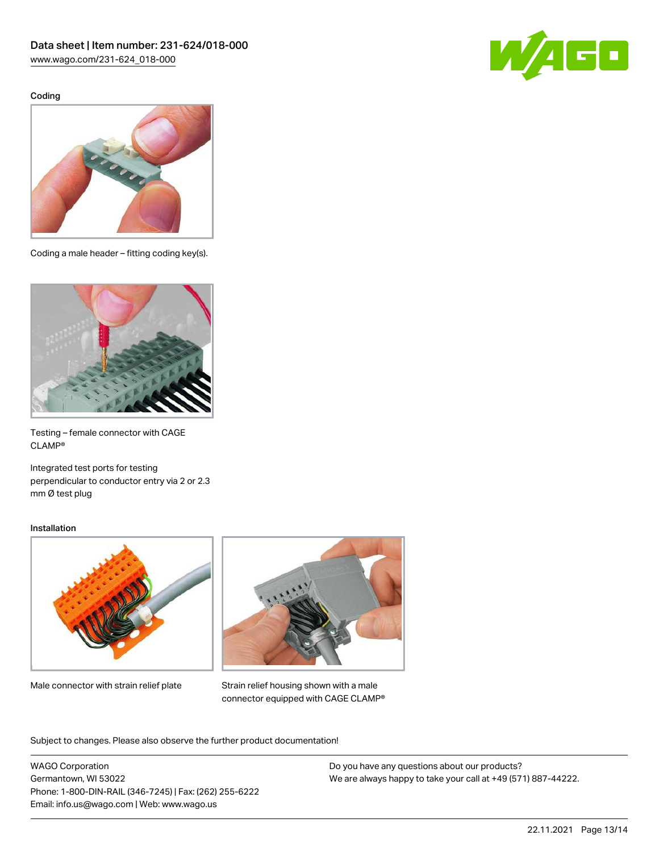Coding





Coding a male header – fitting coding key(s).



Testing – female connector with CAGE CLAMP®

Integrated test ports for testing perpendicular to conductor entry via 2 or 2.3 mm Ø test plug

#### Installation



Male connector with strain relief plate



Strain relief housing shown with a male connector equipped with CAGE CLAMP®

Subject to changes. Please also observe the further product documentation!

WAGO Corporation Germantown, WI 53022 Phone: 1-800-DIN-RAIL (346-7245) | Fax: (262) 255-6222 Email: info.us@wago.com | Web: www.wago.us